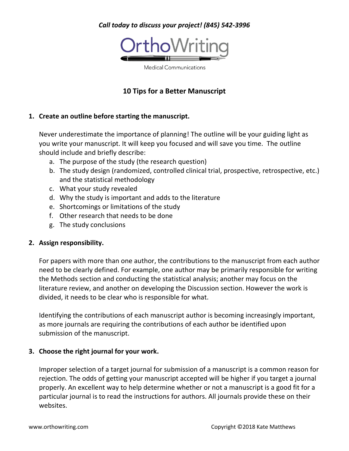# *Call today to discuss your project! (845) 542-3996*



**Medical Communications** 

# **10 Tips for a Better Manuscript**

### **1. Create an outline before starting the manuscript.**

Never underestimate the importance of planning! The outline will be your guiding light as you write your manuscript. It will keep you focused and will save you time. The outline should include and briefly describe:

- a. The purpose of the study (the research question)
- b. The study design (randomized, controlled clinical trial, prospective, retrospective, etc.) and the statistical methodology
- c. What your study revealed
- d. Why the study is important and adds to the literature
- e. Shortcomings or limitations of the study
- f. Other research that needs to be done
- g. The study conclusions

### **2. Assign responsibility.**

For papers with more than one author, the contributions to the manuscript from each author need to be clearly defined. For example, one author may be primarily responsible for writing the Methods section and conducting the statistical analysis; another may focus on the literature review, and another on developing the Discussion section. However the work is divided, it needs to be clear who is responsible for what.

Identifying the contributions of each manuscript author is becoming increasingly important, as more journals are requiring the contributions of each author be identified upon submission of the manuscript.

### **3. Choose the right journal for your work.**

Improper selection of a target journal for submission of a manuscript is a common reason for rejection. The odds of getting your manuscript accepted will be higher if you target a journal properly. An excellent way to help determine whether or not a manuscript is a good fit for a particular journal is to read the instructions for authors. All journals provide these on their websites.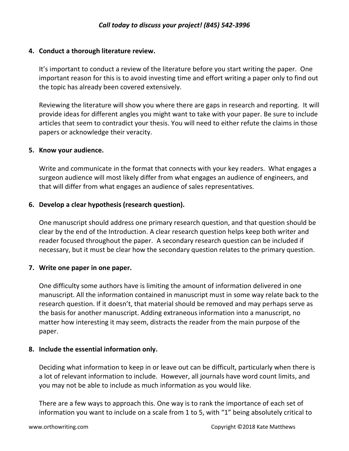## **4. Conduct a thorough literature review.**

It's important to conduct a review of the literature before you start writing the paper. One important reason for this is to avoid investing time and effort writing a paper only to find out the topic has already been covered extensively.

Reviewing the literature will show you where there are gaps in research and reporting. It will provide ideas for different angles you might want to take with your paper. Be sure to include articles that seem to contradict your thesis. You will need to either refute the claims in those papers or acknowledge their veracity.

### **5. Know your audience.**

Write and communicate in the format that connects with your key readers. What engages a surgeon audience will most likely differ from what engages an audience of engineers, and that will differ from what engages an audience of sales representatives.

## **6. Develop a clear hypothesis (research question).**

One manuscript should address one primary research question, and that question should be clear by the end of the Introduction. A clear research question helps keep both writer and reader focused throughout the paper. A secondary research question can be included if necessary, but it must be clear how the secondary question relates to the primary question.

## **7. Write one paper in one paper.**

One difficulty some authors have is limiting the amount of information delivered in one manuscript. All the information contained in manuscript must in some way relate back to the research question. If it doesn't, that material should be removed and may perhaps serve as the basis for another manuscript. Adding extraneous information into a manuscript, no matter how interesting it may seem, distracts the reader from the main purpose of the paper.

### **8. Include the essential information only.**

Deciding what information to keep in or leave out can be difficult, particularly when there is a lot of relevant information to include. However, all journals have word count limits, and you may not be able to include as much information as you would like.

There are a few ways to approach this. One way is to rank the importance of each set of information you want to include on a scale from 1 to 5, with "1" being absolutely critical to